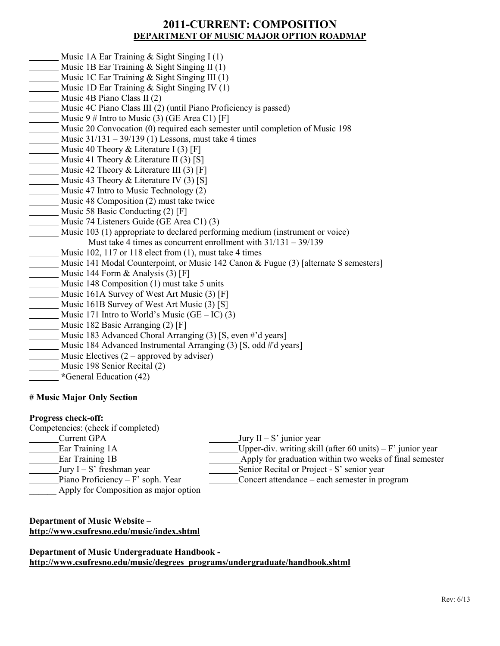## **2011-CURRENT: COMPOSITION DEPARTMENT OF MUSIC MAJOR OPTION ROADMAP**

- Music 1A Ear Training & Sight Singing I (1)
- Music 1B Ear Training & Sight Singing II (1)
- Music 1C Ear Training & Sight Singing III (1)
- Music 1D Ear Training & Sight Singing IV (1)
- Music 4B Piano Class II (2)
- Music 4C Piano Class III (2) (until Piano Proficiency is passed)
- Music  $9 \#$  Intro to Music (3) (GE Area C1) [F]
- Music 20 Convocation (0) required each semester until completion of Music 198
- Music 31/131 39/139 (1) Lessons, must take 4 times
- Music 40 Theory & Literature I (3) [F]
- Music 41 Theory & Literature II (3) [S]
- Music 42 Theory  $\&$  Literature III (3) [F]
- Music 43 Theory & Literature IV (3) [S]
- Music 47 Intro to Music Technology (2)
- Music 48 Composition (2) must take twice
- Music 58 Basic Conducting (2) [F]
- Music 74 Listeners Guide (GE Area C1) (3)
- Music 103 (1) appropriate to declared performing medium (instrument or voice) Must take 4 times as concurrent enrollment with 31/131 – 39/139
- Music 102, 117 or 118 elect from (1), must take 4 times
- Music 141 Modal Counterpoint, or Music 142 Canon & Fugue (3) [alternate S semesters]
- Music 144 Form & Analysis (3) [F]
- Music 148 Composition (1) must take 5 units
- Music 161A Survey of West Art Music (3) [F]
- Music 161B Survey of West Art Music (3) [S]
- Music 171 Intro to World's Music  $(GE IC)$  (3)
- Music 182 Basic Arranging (2) [F]
- Music 183 Advanced Choral Arranging (3) [S, even #'d years]
- Music 184 Advanced Instrumental Arranging (3) [S, odd #'d years]
- Music Electives  $(2 –$  approved by adviser)
- Music 198 Senior Recital (2)
- **\***General Education (42)

## **# Music Major Only Section**

### **Progress check-off:**

Competencies: (check if completed)

- Current GPA Jury  $II S'$  junior year
- Ear Training 1A Upper-div. writing skill (after 60 units) F' junior year
- Ear Training 1B Apply for graduation within two weeks of final semester
- Jury  $I S'$  freshman year
- Piano Proficiency F' soph. Year
- Apply for Composition as major option

# **Department of Music Website – <http://www.csufresno.edu/music/index.shtml>**

**Department of Music Undergraduate Handbook http://www.csufresno.edu/music/degrees\_programs/undergraduate/handbook.shtml**

Senior Recital or Project - S' senior year Concert attendance – each semester in program